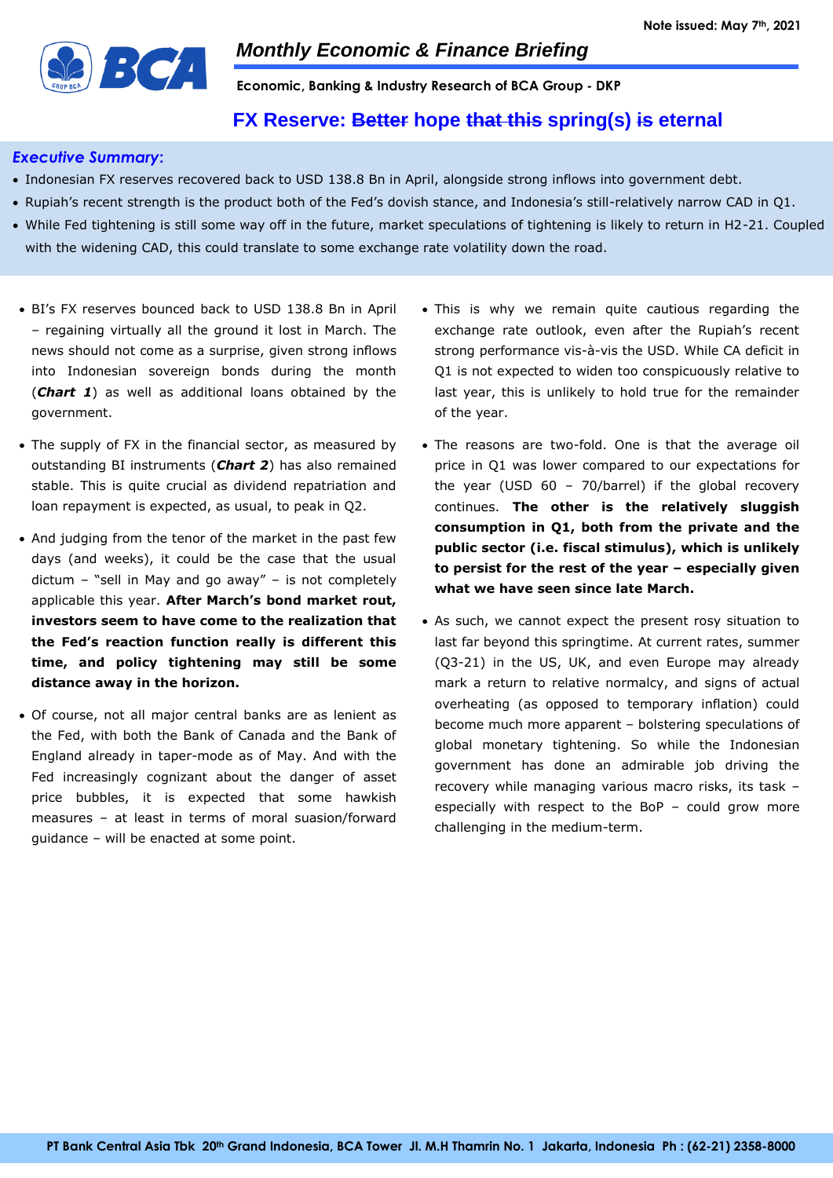

**Economic, Banking & Industry Research of BCA Group - DKP**

# **FX Reserve: Better hope that this spring(s) is eternal**

## *Executive Summary***:**

- Indonesian FX reserves recovered back to USD 138.8 Bn in April, alongside strong inflows into government debt.
- Rupiah's recent strength is the product both of the Fed's dovish stance, and Indonesia's still-relatively narrow CAD in Q1.
- While Fed tightening is still some way off in the future, market speculations of tightening is likely to return in H2-21. Coupled with the widening CAD, this could translate to some exchange rate volatility down the road.
- BI's FX reserves bounced back to USD 138.8 Bn in April – regaining virtually all the ground it lost in March. The news should not come as a surprise, given strong inflows into Indonesian sovereign bonds during the month (*Chart 1*) as well as additional loans obtained by the government.
- The supply of FX in the financial sector, as measured by outstanding BI instruments (*Chart 2*) has also remained stable. This is quite crucial as dividend repatriation and loan repayment is expected, as usual, to peak in Q2.
- And judging from the tenor of the market in the past few days (and weeks), it could be the case that the usual dictum – "sell in May and go away" – is not completely applicable this year. **After March's bond market rout, investors seem to have come to the realization that the Fed's reaction function really is different this time, and policy tightening may still be some distance away in the horizon.**
- Of course, not all major central banks are as lenient as the Fed, with both the Bank of Canada and the Bank of England already in taper-mode as of May. And with the Fed increasingly cognizant about the danger of asset price bubbles, it is expected that some hawkish measures – at least in terms of moral suasion/forward guidance – will be enacted at some point.
- This is why we remain quite cautious regarding the exchange rate outlook, even after the Rupiah's recent strong performance vis-à-vis the USD. While CA deficit in Q1 is not expected to widen too conspicuously relative to last year, this is unlikely to hold true for the remainder of the year.
- The reasons are two-fold. One is that the average oil price in Q1 was lower compared to our expectations for the year (USD 60 – 70/barrel) if the global recovery continues. **The other is the relatively sluggish consumption in Q1, both from the private and the public sector (i.e. fiscal stimulus), which is unlikely to persist for the rest of the year – especially given what we have seen since late March.**
- As such, we cannot expect the present rosy situation to last far beyond this springtime. At current rates, summer (Q3-21) in the US, UK, and even Europe may already mark a return to relative normalcy, and signs of actual overheating (as opposed to temporary inflation) could become much more apparent – bolstering speculations of global monetary tightening. So while the Indonesian government has done an admirable job driving the recovery while managing various macro risks, its task – especially with respect to the BoP – could grow more challenging in the medium-term.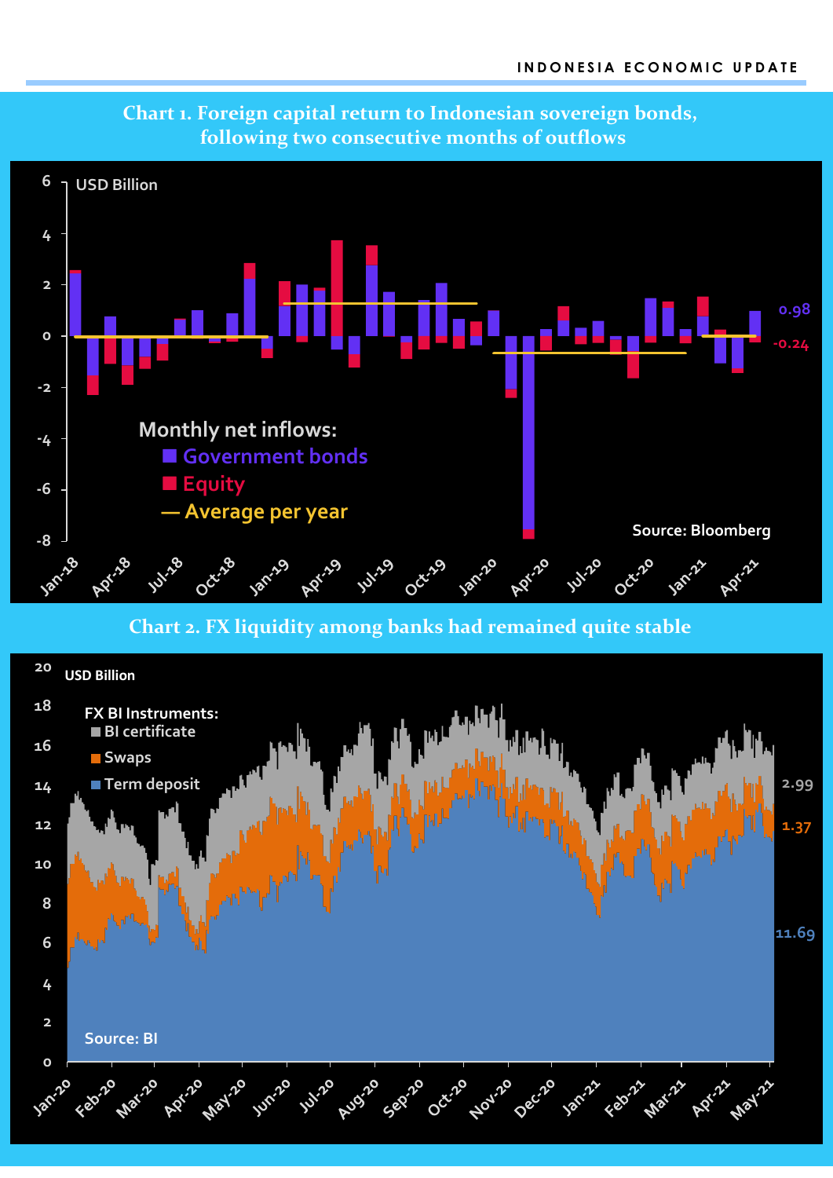

**0**

**2**

**Source: BI** 

**4**

# **Chart 1. Foreign capital return to Indonesian sovereign bonds, following two consecutive months of outflows**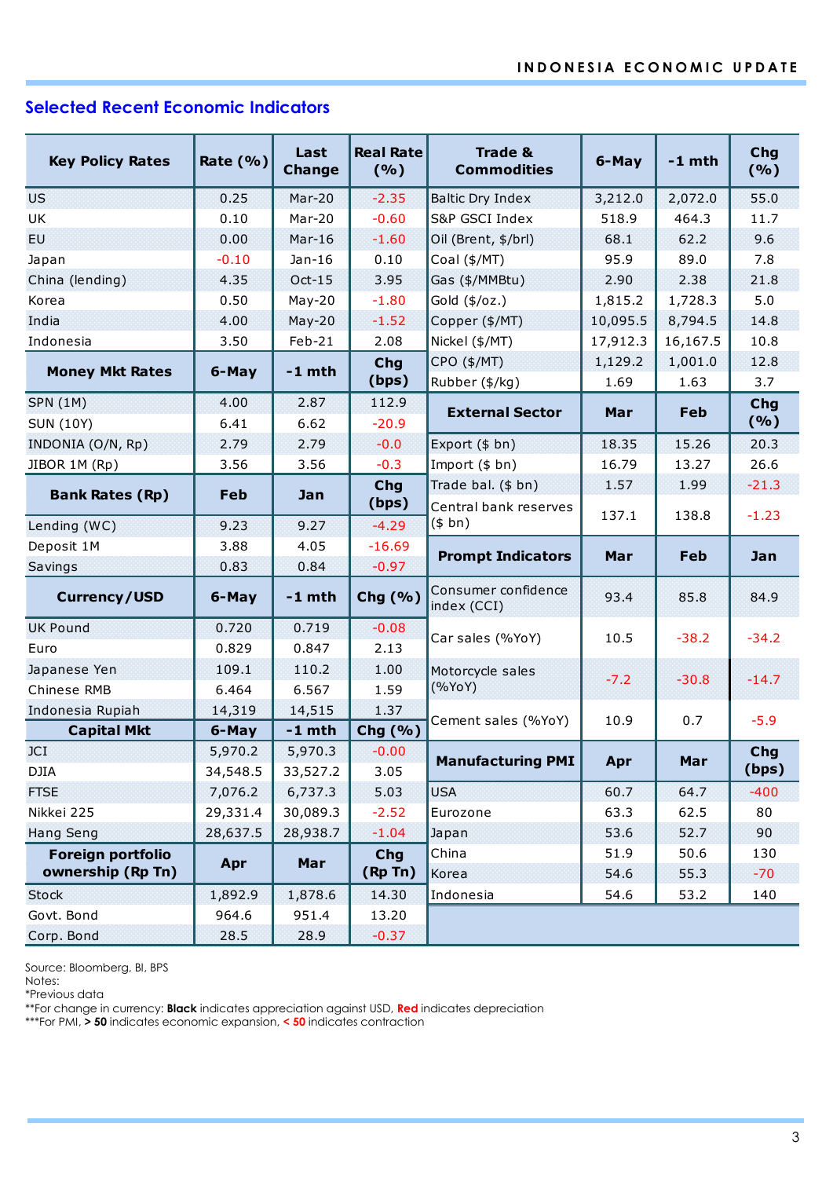# **Selected Recent Economic Indicators**

| <b>Key Policy Rates</b> | Rate $(% )$ | Last<br><b>Change</b> | <b>Real Rate</b><br>(9/6)   | <b>Trade &amp;</b><br><b>Commodities</b> | 6-May    | $-1$ mth   | Chg<br>(%) |  |  |  |
|-------------------------|-------------|-----------------------|-----------------------------|------------------------------------------|----------|------------|------------|--|--|--|
| <b>US</b>               | 0.25        | $Mar-20$              | $-2.35$<br>Baltic Dry Index |                                          | 3,212.0  | 2,072.0    | 55.0       |  |  |  |
| UK                      | 0.10        | Mar-20                | $-0.60$                     | S&P GSCI Index                           | 518.9    | 464.3      | 11.7       |  |  |  |
| EU.                     | 0.00        | $Mar-16$              | $-1.60$                     | Oil (Brent, \$/brl)                      | 68.1     | 62.2       | 9.6        |  |  |  |
| Japan                   | $-0.10$     | $Jan-16$              | 0.10                        | Coal (\$/MT)                             | 95.9     | 89.0       | 7.8        |  |  |  |
| China (lending)         | 4.35        | $Oct-15$              | 3.95                        | Gas (\$/MMBtu)                           | 2.90     | 2.38       | 21.8       |  |  |  |
| Korea                   | 0.50        | $May-20$              | $-1.80$                     | Gold (\$/oz.)                            | 1,815.2  | 1,728.3    | 5.0        |  |  |  |
| India                   | 4.00        | $May-20$              | $-1.52$                     | Copper (\$/MT)                           | 10,095.5 | 8,794.5    | 14.8       |  |  |  |
| Indonesia               | 3.50        | Feb-21                | 2.08                        | Nickel (\$/MT)                           | 17,912.3 | 16,167.5   | 10.8       |  |  |  |
| <b>Money Mkt Rates</b>  | 6-May       | $-1$ mth              | <b>Chg</b>                  | CPO (\$/MT)                              | 1,129.2  | 1,001.0    | 12.8       |  |  |  |
|                         |             |                       | (bps)                       | Rubber (\$/kg)                           | 1.69     | 1.63       | 3.7        |  |  |  |
| <b>SPN (1M)</b>         | 4.00        | 2.87                  | 112.9                       | <b>External Sector</b>                   | Mar      | <b>Feb</b> | Chg        |  |  |  |
| <b>SUN (10Y)</b>        | 6.41        | 6.62                  | $-20.9$                     |                                          |          |            | (%)        |  |  |  |
| INDONIA (O/N, Rp)       | 2.79        | 2.79                  | $-0.0$                      | Export (\$ bn)                           | 18.35    | 15.26      | 20.3       |  |  |  |
| JIBOR 1M (Rp)           | 3.56        | 3.56                  | $-0.3$                      | Import (\$ bn)                           | 16.79    | 13.27      | 26.6       |  |  |  |
| <b>Bank Rates (Rp)</b>  | Feb         | Jan                   | Chg                         | Trade bal. (\$ bn)                       | 1.57     | 1.99       | $-21.3$    |  |  |  |
|                         |             |                       | (bps)                       | Central bank reserves                    | 137.1    | 138.8      | $-1.23$    |  |  |  |
| Lending (WC)            | 9.23        | 9.27                  | $-4.29$                     | (\$bn)                                   |          |            |            |  |  |  |
| Deposit 1M              | 3.88        | 4.05                  | $-16.69$                    | <b>Prompt Indicators</b>                 | Mar      | Feb        | Jan        |  |  |  |
| Savings                 | 0.83        | 0.84                  | $-0.97$                     |                                          |          |            |            |  |  |  |
| <b>Currency/USD</b>     | 6-May       | $-1$ mth              | Chg (%)                     | Consumer confidence<br>index (CCI)       | 93.4     | 85.8       | 84.9       |  |  |  |
| <b>UK Pound</b>         | 0.720       | 0.719                 | $-0.08$                     | Car sales (%YoY)                         | 10.5     | $-38.2$    | $-34.2$    |  |  |  |
| Euro                    | 0.829       | 0.847                 | 2.13                        |                                          |          |            |            |  |  |  |
| Japanese Yen            | 109.1       | 110.2                 | 1.00                        | Motorcycle sales                         | $-7.2$   | $-30.8$    | $-14.7$    |  |  |  |
| Chinese RMB             | 6.464       | 6.567                 | 1.59                        | (%YoY)                                   |          |            |            |  |  |  |
| Indonesia Rupiah        | 14,319      | 14,515                | 1.37                        | Cement sales (%YoY)                      | 10.9     | 0.7        | $-5.9$     |  |  |  |
| <b>Capital Mkt</b>      | 6-May       | $-1$ mth              | Chg (%)                     |                                          |          |            |            |  |  |  |
| JCI                     | 5,970.2     | 5,970.3               | $-0.00$                     | <b>Manufacturing PMI</b>                 | Apr      | Mar        | <b>Chg</b> |  |  |  |
| DJIA                    | 34,548.5    | 33,527.2              | 3.05                        |                                          |          |            | (bps)      |  |  |  |
| <b>FTSE</b>             | 7,076.2     | 6,737.3               | 5.03                        | <b>USA</b>                               | 60.7     | 64.7       | $-400$     |  |  |  |
| Nikkei 225              | 29,331.4    | 30,089.3              | $-2.52$                     | Eurozone                                 | 63.3     | 62.5       | 80         |  |  |  |
| <b>Hang Seng</b>        | 28,637.5    | 28,938.7              | $-1.04$<br>Japan            |                                          | 53.6     | 52.7       | 90         |  |  |  |
| Foreign portfolio       | Apr         | Mar                   | <b>Chg</b>                  | China                                    | 51.9     | 50.6       | 130        |  |  |  |
| ownership (Rp Tn)       |             |                       | (Rp Tn)                     | Korea                                    | 54.6     | 55.3       | $-70$      |  |  |  |
| <b>Stock</b>            | 1,892.9     | 1,878.6               | 14.30                       | Indonesia<br>54.6<br>53.2<br>140         |          |            |            |  |  |  |
| Govt. Bond              | 964.6       | 951.4                 | 13.20                       |                                          |          |            |            |  |  |  |
| Corp. Bond              | 28.5        | 28.9                  | $-0.37$                     |                                          |          |            |            |  |  |  |

Source: Bloomberg, BI, BPS

Notes:

\*Previous data

\*\*For change in currency: **Black** indicates appreciation against USD, **Red** indicates depreciation

\*\*\*For PMI, **> 50** indicates economic expansion, **< 50** indicates contraction